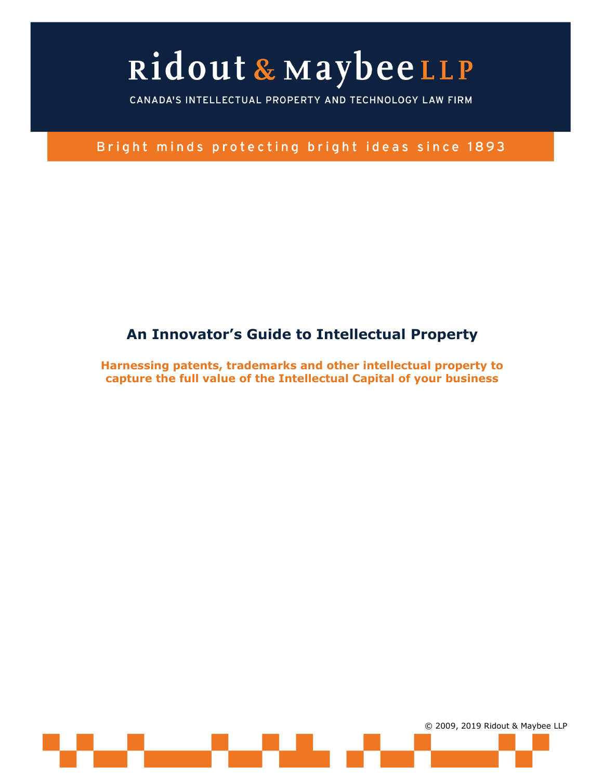CANADA'S INTELLECTUAL PROPERTY AND TECHNOLOGY LAW FIRM

Bright minds protecting bright ideas since 1893

### **An Innovator's Guide to Intellectual Property**

**Harnessing patents, trademarks and other intellectual property to capture the full value of the Intellectual Capital of your business**

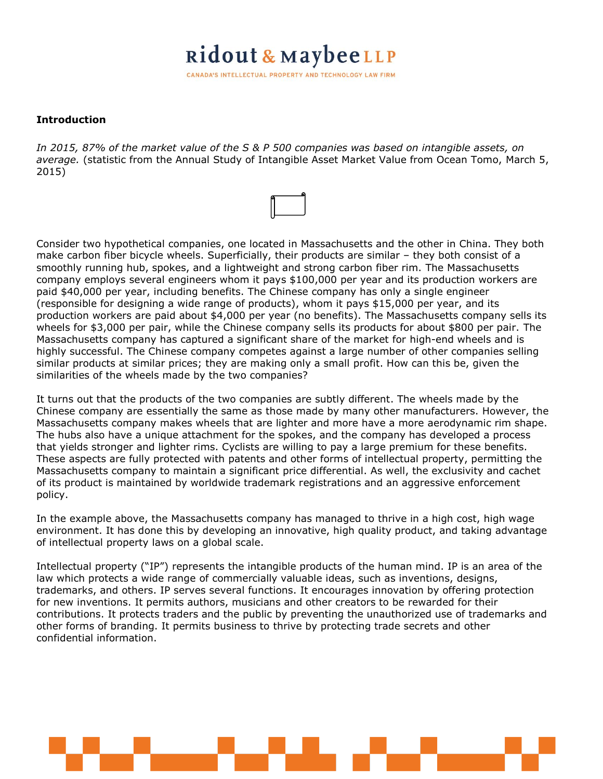CANADA'S INTELLECTUAL PROPERTY AND TECHNOLOGY LAW FIRM

#### **Introduction**

*In 2015, 87% of the market value of the S & P 500 companies was based on intangible assets, on average.* (statistic from the Annual Study of Intangible Asset Market Value from Ocean Tomo, March 5, 2015)

Consider two hypothetical companies, one located in Massachusetts and the other in China. They both make carbon fiber bicycle wheels. Superficially, their products are similar – they both consist of a smoothly running hub, spokes, and a lightweight and strong carbon fiber rim. The Massachusetts company employs several engineers whom it pays \$100,000 per year and its production workers are paid \$40,000 per year, including benefits. The Chinese company has only a single engineer (responsible for designing a wide range of products), whom it pays \$15,000 per year, and its production workers are paid about \$4,000 per year (no benefits). The Massachusetts company sells its wheels for \$3,000 per pair, while the Chinese company sells its products for about \$800 per pair. The Massachusetts company has captured a significant share of the market for high-end wheels and is highly successful. The Chinese company competes against a large number of other companies selling similar products at similar prices; they are making only a small profit. How can this be, given the similarities of the wheels made by the two companies?

It turns out that the products of the two companies are subtly different. The wheels made by the Chinese company are essentially the same as those made by many other manufacturers. However, the Massachusetts company makes wheels that are lighter and more have a more aerodynamic rim shape. The hubs also have a unique attachment for the spokes, and the company has developed a process that yields stronger and lighter rims. Cyclists are willing to pay a large premium for these benefits. These aspects are fully protected with patents and other forms of intellectual property, permitting the Massachusetts company to maintain a significant price differential. As well, the exclusivity and cachet of its product is maintained by worldwide trademark registrations and an aggressive enforcement policy.

In the example above, the Massachusetts company has managed to thrive in a high cost, high wage environment. It has done this by developing an innovative, high quality product, and taking advantage of intellectual property laws on a global scale.

Intellectual property ("IP") represents the intangible products of the human mind. IP is an area of the law which protects a wide range of commercially valuable ideas, such as inventions, designs, trademarks, and others. IP serves several functions. It encourages innovation by offering protection for new inventions. It permits authors, musicians and other creators to be rewarded for their contributions. It protects traders and the public by preventing the unauthorized use of trademarks and other forms of branding. It permits business to thrive by protecting trade secrets and other confidential information.

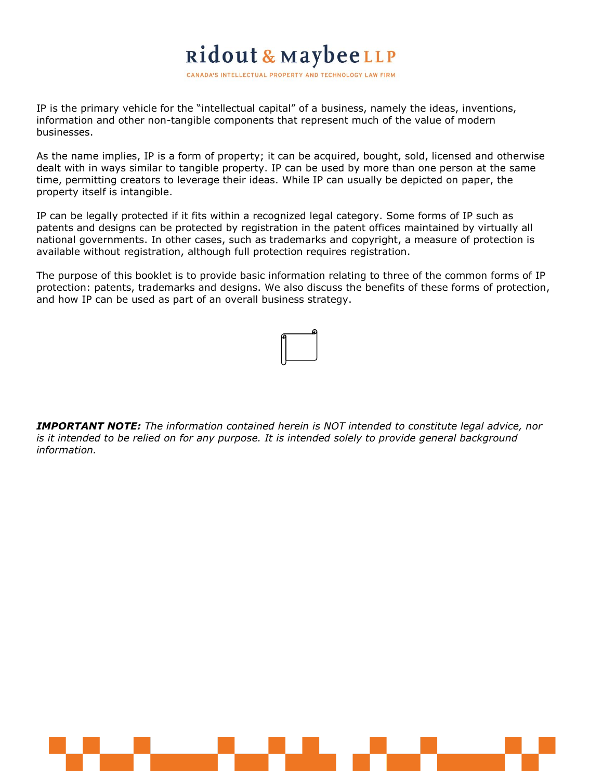CANADA'S INTELLECTUAL PROPERTY AND TECHNOLOGY LAW FIRM

IP is the primary vehicle for the "intellectual capital" of a business, namely the ideas, inventions, information and other non-tangible components that represent much of the value of modern businesses.

As the name implies, IP is a form of property; it can be acquired, bought, sold, licensed and otherwise dealt with in ways similar to tangible property. IP can be used by more than one person at the same time, permitting creators to leverage their ideas. While IP can usually be depicted on paper, the property itself is intangible.

IP can be legally protected if it fits within a recognized legal category. Some forms of IP such as patents and designs can be protected by registration in the patent offices maintained by virtually all national governments. In other cases, such as trademarks and copyright, a measure of protection is available without registration, although full protection requires registration.

The purpose of this booklet is to provide basic information relating to three of the common forms of IP protection: patents, trademarks and designs. We also discuss the benefits of these forms of protection, and how IP can be used as part of an overall business strategy.



*IMPORTANT NOTE: The information contained herein is NOT intended to constitute legal advice, nor is it intended to be relied on for any purpose. It is intended solely to provide general background information.*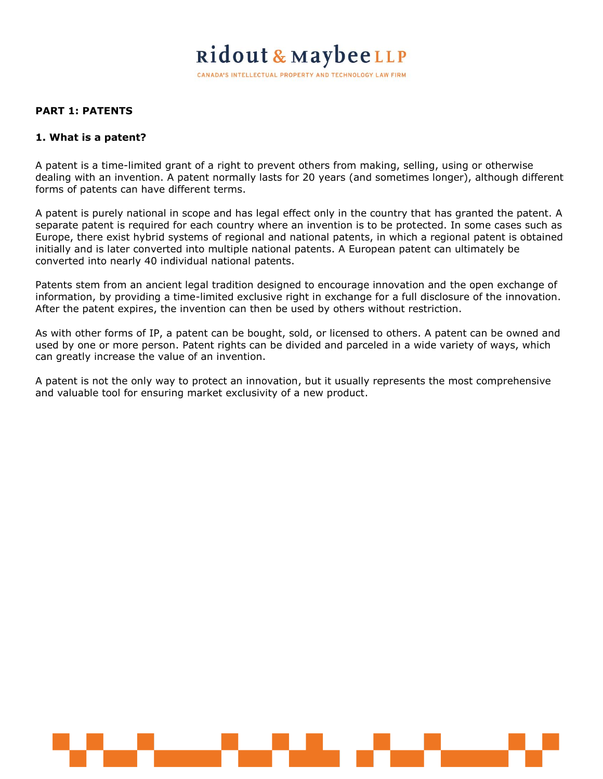CANADA'S INTELLECTUAL PROPERTY AND TECHNOLOGY LAW FIRM

#### **PART 1: PATENTS**

#### **1. What is a patent?**

A patent is a time-limited grant of a right to prevent others from making, selling, using or otherwise dealing with an invention. A patent normally lasts for 20 years (and sometimes longer), although different forms of patents can have different terms.

A patent is purely national in scope and has legal effect only in the country that has granted the patent. A separate patent is required for each country where an invention is to be protected. In some cases such as Europe, there exist hybrid systems of regional and national patents, in which a regional patent is obtained initially and is later converted into multiple national patents. A European patent can ultimately be converted into nearly 40 individual national patents.

Patents stem from an ancient legal tradition designed to encourage innovation and the open exchange of information, by providing a time-limited exclusive right in exchange for a full disclosure of the innovation. After the patent expires, the invention can then be used by others without restriction.

As with other forms of IP, a patent can be bought, sold, or licensed to others. A patent can be owned and used by one or more person. Patent rights can be divided and parceled in a wide variety of ways, which can greatly increase the value of an invention.

A patent is not the only way to protect an innovation, but it usually represents the most comprehensive and valuable tool for ensuring market exclusivity of a new product.

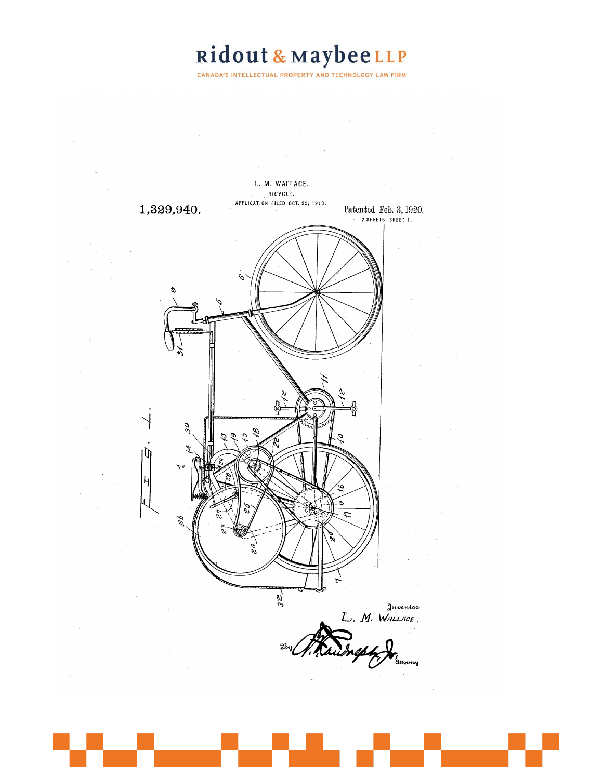CANADA'S INTELLECTUAL PROPERTY AND TECHNOLOGY LAW FIRM

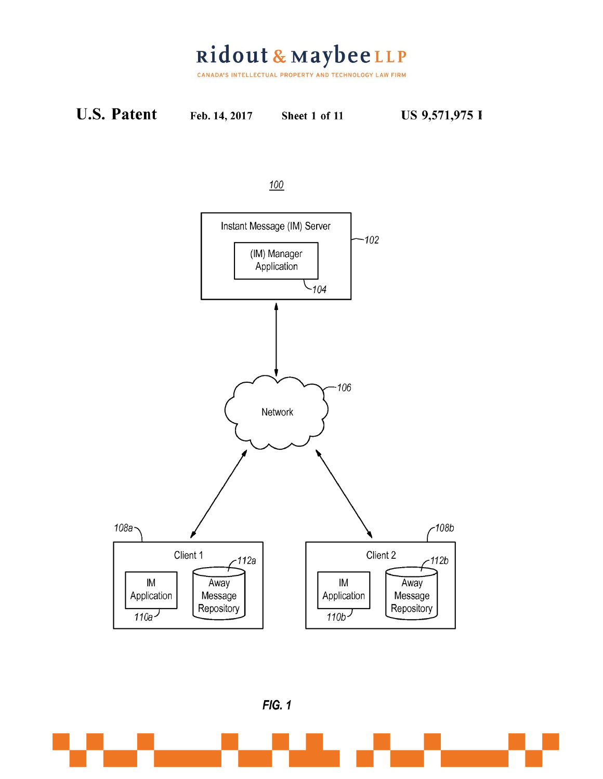Ridout & MaybeeLLP

CANADA'S INTELLECTUAL PROPERTY AND TECHNOLOGY LAW FIRM







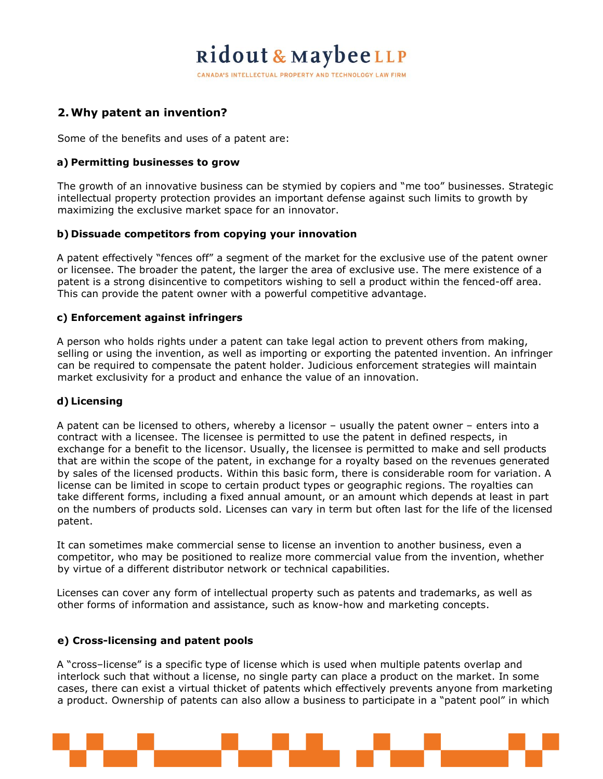CANADA'S INTELLECTUAL PROPERTY AND TECHNOLOGY LAW FIRM

### **2.Why patent an invention?**

Some of the benefits and uses of a patent are:

#### **a) Permitting businesses to grow**

The growth of an innovative business can be stymied by copiers and "me too" businesses. Strategic intellectual property protection provides an important defense against such limits to growth by maximizing the exclusive market space for an innovator.

#### **b) Dissuade competitors from copying your innovation**

A patent effectively "fences off" a segment of the market for the exclusive use of the patent owner or licensee. The broader the patent, the larger the area of exclusive use. The mere existence of a patent is a strong disincentive to competitors wishing to sell a product within the fenced-off area. This can provide the patent owner with a powerful competitive advantage.

#### **c) Enforcement against infringers**

A person who holds rights under a patent can take legal action to prevent others from making, selling or using the invention, as well as importing or exporting the patented invention. An infringer can be required to compensate the patent holder. Judicious enforcement strategies will maintain market exclusivity for a product and enhance the value of an innovation.

#### **d) Licensing**

A patent can be licensed to others, whereby a licensor – usually the patent owner – enters into a contract with a licensee. The licensee is permitted to use the patent in defined respects, in exchange for a benefit to the licensor. Usually, the licensee is permitted to make and sell products that are within the scope of the patent, in exchange for a royalty based on the revenues generated by sales of the licensed products. Within this basic form, there is considerable room for variation. A license can be limited in scope to certain product types or geographic regions. The royalties can take different forms, including a fixed annual amount, or an amount which depends at least in part on the numbers of products sold. Licenses can vary in term but often last for the life of the licensed patent.

It can sometimes make commercial sense to license an invention to another business, even a competitor, who may be positioned to realize more commercial value from the invention, whether by virtue of a different distributor network or technical capabilities.

Licenses can cover any form of intellectual property such as patents and trademarks, as well as other forms of information and assistance, such as know-how and marketing concepts.

#### **e) Cross-licensing and patent pools**

A "cross–license" is a specific type of license which is used when multiple patents overlap and interlock such that without a license, no single party can place a product on the market. In some cases, there can exist a virtual thicket of patents which effectively prevents anyone from marketing a product. Ownership of patents can also allow a business to participate in a "patent pool" in which

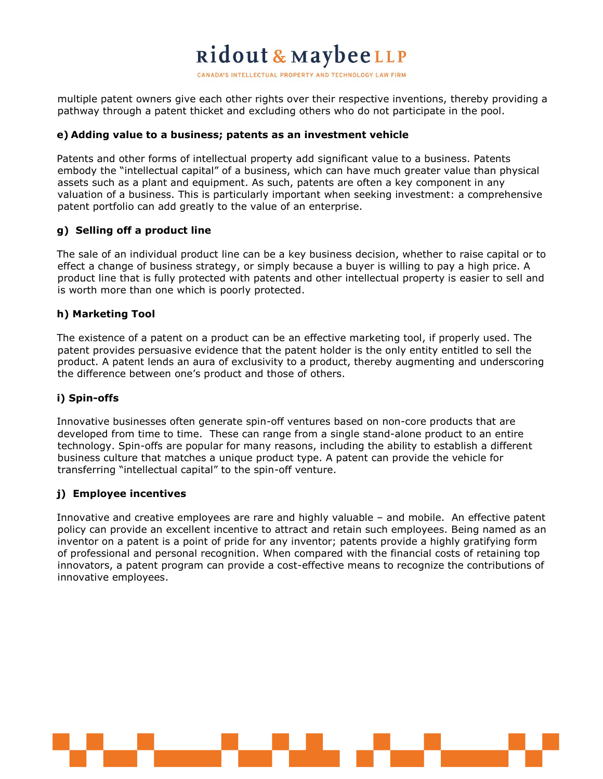CANADA'S INTELLECTUAL PROPERTY AND TECHNOLOGY LAW FIRM

multiple patent owners give each other rights over their respective inventions, thereby providing a pathway through a patent thicket and excluding others who do not participate in the pool.

#### **e) Adding value to a business; patents as an investment vehicle**

Patents and other forms of intellectual property add significant value to a business. Patents embody the "intellectual capital" of a business, which can have much greater value than physical assets such as a plant and equipment. As such, patents are often a key component in any valuation of a business. This is particularly important when seeking investment: a comprehensive patent portfolio can add greatly to the value of an enterprise.

#### **g) Selling off a product line**

The sale of an individual product line can be a key business decision, whether to raise capital or to effect a change of business strategy, or simply because a buyer is willing to pay a high price. A product line that is fully protected with patents and other intellectual property is easier to sell and is worth more than one which is poorly protected.

#### **h) Marketing Tool**

The existence of a patent on a product can be an effective marketing tool, if properly used. The patent provides persuasive evidence that the patent holder is the only entity entitled to sell the product. A patent lends an aura of exclusivity to a product, thereby augmenting and underscoring the difference between one's product and those of others.

#### **i) Spin-offs**

Innovative businesses often generate spin-off ventures based on non-core products that are developed from time to time. These can range from a single stand-alone product to an entire technology. Spin-offs are popular for many reasons, including the ability to establish a different business culture that matches a unique product type. A patent can provide the vehicle for transferring "intellectual capital" to the spin-off venture.

#### **j) Employee incentives**

Innovative and creative employees are rare and highly valuable – and mobile. An effective patent policy can provide an excellent incentive to attract and retain such employees. Being named as an inventor on a patent is a point of pride for any inventor; patents provide a highly gratifying form of professional and personal recognition. When compared with the financial costs of retaining top innovators, a patent program can provide a cost-effective means to recognize the contributions of innovative employees.

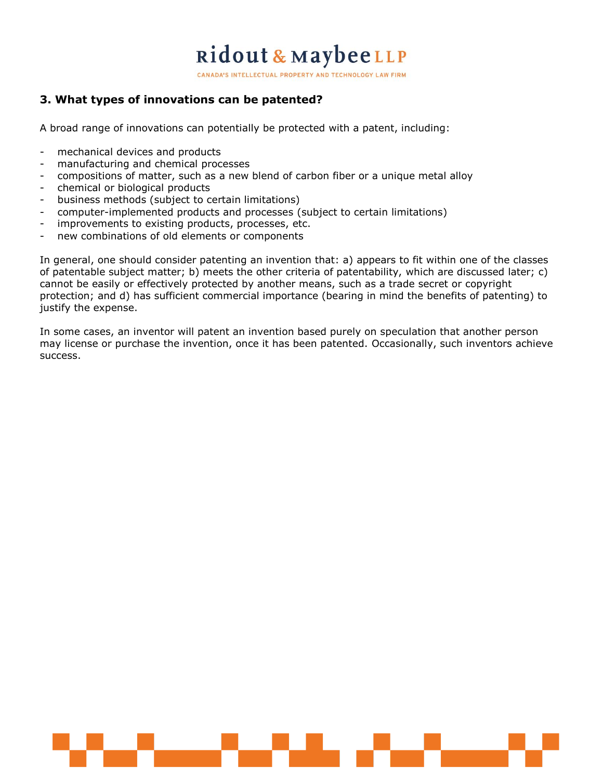CANADA'S INTELLECTUAL PROPERTY AND TECHNOLOGY LAW FIRM

### **3. What types of innovations can be patented?**

A broad range of innovations can potentially be protected with a patent, including:

- mechanical devices and products
- manufacturing and chemical processes
- compositions of matter, such as a new blend of carbon fiber or a unique metal alloy
- chemical or biological products
- business methods (subject to certain limitations)
- computer-implemented products and processes (subject to certain limitations)
- improvements to existing products, processes, etc.
- new combinations of old elements or components

In general, one should consider patenting an invention that: a) appears to fit within one of the classes of patentable subject matter; b) meets the other criteria of patentability, which are discussed later; c) cannot be easily or effectively protected by another means, such as a trade secret or copyright protection; and d) has sufficient commercial importance (bearing in mind the benefits of patenting) to justify the expense.

In some cases, an inventor will patent an invention based purely on speculation that another person may license or purchase the invention, once it has been patented. Occasionally, such inventors achieve success.

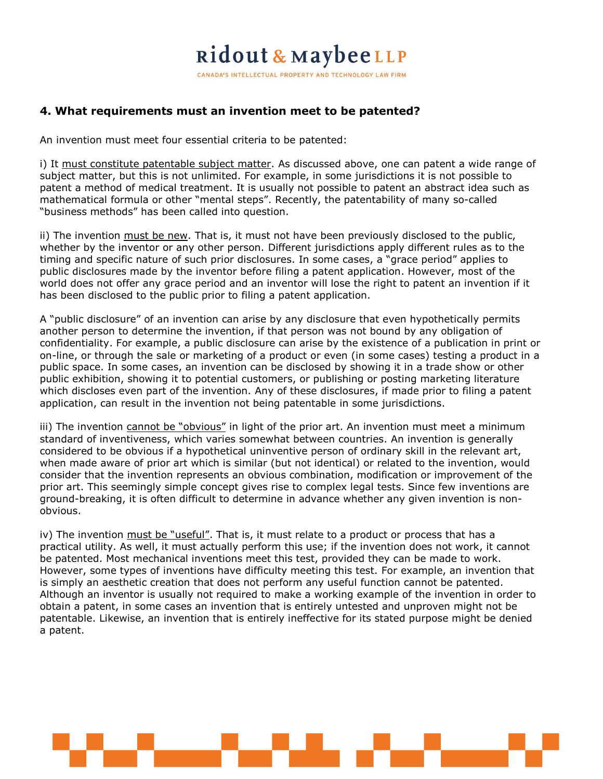CANADA'S INTELLECTUAL PROPERTY AND TECHNOLOGY LAW FIRM

### **4. What requirements must an invention meet to be patented?**

An invention must meet four essential criteria to be patented:

i) It must constitute patentable subject matter. As discussed above, one can patent a wide range of subject matter, but this is not unlimited. For example, in some jurisdictions it is not possible to patent a method of medical treatment. It is usually not possible to patent an abstract idea such as mathematical formula or other "mental steps". Recently, the patentability of many so-called "business methods" has been called into question.

ii) The invention must be new. That is, it must not have been previously disclosed to the public, whether by the inventor or any other person. Different jurisdictions apply different rules as to the timing and specific nature of such prior disclosures. In some cases, a "grace period" applies to public disclosures made by the inventor before filing a patent application. However, most of the world does not offer any grace period and an inventor will lose the right to patent an invention if it has been disclosed to the public prior to filing a patent application.

A "public disclosure" of an invention can arise by any disclosure that even hypothetically permits another person to determine the invention, if that person was not bound by any obligation of confidentiality. For example, a public disclosure can arise by the existence of a publication in print or on-line, or through the sale or marketing of a product or even (in some cases) testing a product in a public space. In some cases, an invention can be disclosed by showing it in a trade show or other public exhibition, showing it to potential customers, or publishing or posting marketing literature which discloses even part of the invention. Any of these disclosures, if made prior to filing a patent application, can result in the invention not being patentable in some jurisdictions.

iii) The invention cannot be "obvious" in light of the prior art. An invention must meet a minimum standard of inventiveness, which varies somewhat between countries. An invention is generally considered to be obvious if a hypothetical uninventive person of ordinary skill in the relevant art, when made aware of prior art which is similar (but not identical) or related to the invention, would consider that the invention represents an obvious combination, modification or improvement of the prior art. This seemingly simple concept gives rise to complex legal tests. Since few inventions are ground-breaking, it is often difficult to determine in advance whether any given invention is nonobvious.

iv) The invention must be "useful". That is, it must relate to a product or process that has a practical utility. As well, it must actually perform this use; if the invention does not work, it cannot be patented. Most mechanical inventions meet this test, provided they can be made to work. However, some types of inventions have difficulty meeting this test. For example, an invention that is simply an aesthetic creation that does not perform any useful function cannot be patented. Although an inventor is usually not required to make a working example of the invention in order to obtain a patent, in some cases an invention that is entirely untested and unproven might not be patentable. Likewise, an invention that is entirely ineffective for its stated purpose might be denied a patent.

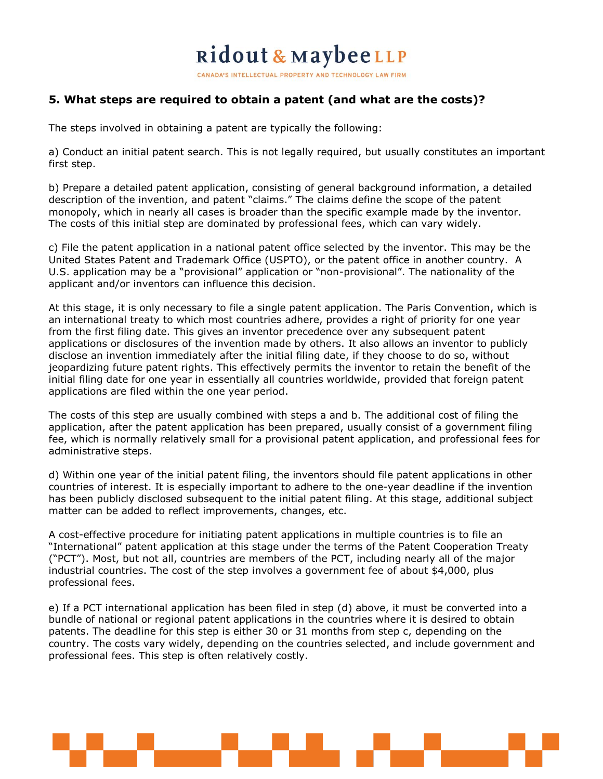CANADA'S INTELLECTUAL PROPERTY AND TECHNOLOGY LAW FIRM

#### **5. What steps are required to obtain a patent (and what are the costs)?**

The steps involved in obtaining a patent are typically the following:

a) Conduct an initial patent search. This is not legally required, but usually constitutes an important first step.

b) Prepare a detailed patent application, consisting of general background information, a detailed description of the invention, and patent "claims." The claims define the scope of the patent monopoly, which in nearly all cases is broader than the specific example made by the inventor. The costs of this initial step are dominated by professional fees, which can vary widely.

c) File the patent application in a national patent office selected by the inventor. This may be the United States Patent and Trademark Office (USPTO), or the patent office in another country. A U.S. application may be a "provisional" application or "non-provisional". The nationality of the applicant and/or inventors can influence this decision.

At this stage, it is only necessary to file a single patent application. The Paris Convention, which is an international treaty to which most countries adhere, provides a right of priority for one year from the first filing date. This gives an inventor precedence over any subsequent patent applications or disclosures of the invention made by others. It also allows an inventor to publicly disclose an invention immediately after the initial filing date, if they choose to do so, without jeopardizing future patent rights. This effectively permits the inventor to retain the benefit of the initial filing date for one year in essentially all countries worldwide, provided that foreign patent applications are filed within the one year period.

The costs of this step are usually combined with steps a and b. The additional cost of filing the application, after the patent application has been prepared, usually consist of a government filing fee, which is normally relatively small for a provisional patent application, and professional fees for administrative steps.

d) Within one year of the initial patent filing, the inventors should file patent applications in other countries of interest. It is especially important to adhere to the one-year deadline if the invention has been publicly disclosed subsequent to the initial patent filing. At this stage, additional subject matter can be added to reflect improvements, changes, etc.

A cost-effective procedure for initiating patent applications in multiple countries is to file an "International" patent application at this stage under the terms of the Patent Cooperation Treaty ("PCT"). Most, but not all, countries are members of the PCT, including nearly all of the major industrial countries. The cost of the step involves a government fee of about \$4,000, plus professional fees.

e) If a PCT international application has been filed in step (d) above, it must be converted into a bundle of national or regional patent applications in the countries where it is desired to obtain patents. The deadline for this step is either 30 or 31 months from step c, depending on the country. The costs vary widely, depending on the countries selected, and include government and professional fees. This step is often relatively costly.

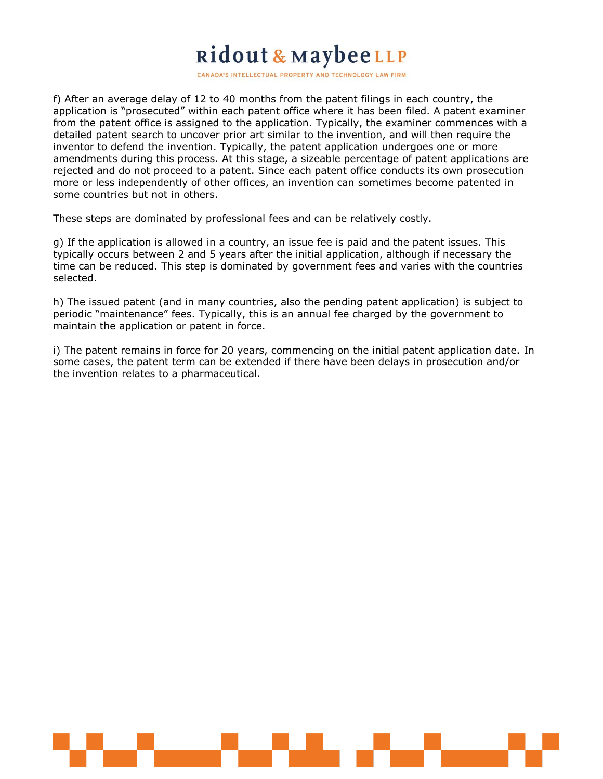CANADA'S INTELLECTUAL PROPERTY AND TECHNOLOGY LAW FIRM

f) After an average delay of 12 to 40 months from the patent filings in each country, the application is "prosecuted" within each patent office where it has been filed. A patent examiner from the patent office is assigned to the application. Typically, the examiner commences with a detailed patent search to uncover prior art similar to the invention, and will then require the inventor to defend the invention. Typically, the patent application undergoes one or more amendments during this process. At this stage, a sizeable percentage of patent applications are rejected and do not proceed to a patent. Since each patent office conducts its own prosecution more or less independently of other offices, an invention can sometimes become patented in some countries but not in others.

These steps are dominated by professional fees and can be relatively costly.

g) If the application is allowed in a country, an issue fee is paid and the patent issues. This typically occurs between 2 and 5 years after the initial application, although if necessary the time can be reduced. This step is dominated by government fees and varies with the countries selected.

h) The issued patent (and in many countries, also the pending patent application) is subject to periodic "maintenance" fees. Typically, this is an annual fee charged by the government to maintain the application or patent in force.

i) The patent remains in force for 20 years, commencing on the initial patent application date. In some cases, the patent term can be extended if there have been delays in prosecution and/or the invention relates to a pharmaceutical.

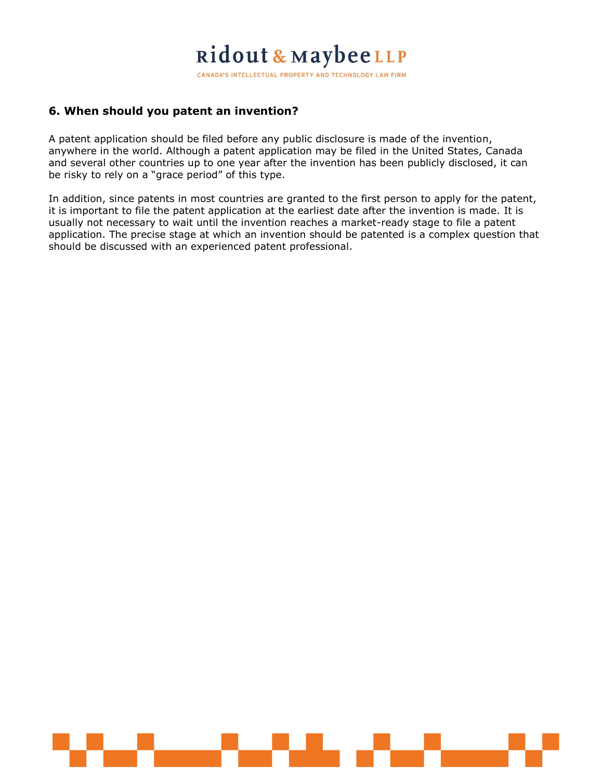CANADA'S INTELLECTUAL PROPERTY AND TECHNOLOGY LAW FIRM

### **6. When should you patent an invention?**

A patent application should be filed before any public disclosure is made of the invention, anywhere in the world. Although a patent application may be filed in the United States, Canada and several other countries up to one year after the invention has been publicly disclosed, it can be risky to rely on a "grace period" of this type.

In addition, since patents in most countries are granted to the first person to apply for the patent, it is important to file the patent application at the earliest date after the invention is made. It is usually not necessary to wait until the invention reaches a market-ready stage to file a patent application. The precise stage at which an invention should be patented is a complex question that should be discussed with an experienced patent professional.

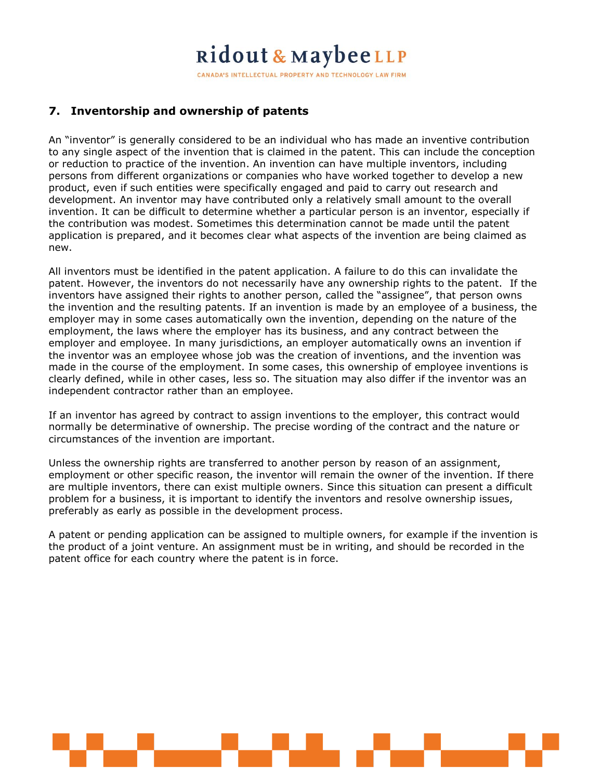CANADA'S INTELLECTUAL PROPERTY AND TECHNOLOGY LAW FIRM

### **7. Inventorship and ownership of patents**

An "inventor" is generally considered to be an individual who has made an inventive contribution to any single aspect of the invention that is claimed in the patent. This can include the conception or reduction to practice of the invention. An invention can have multiple inventors, including persons from different organizations or companies who have worked together to develop a new product, even if such entities were specifically engaged and paid to carry out research and development. An inventor may have contributed only a relatively small amount to the overall invention. It can be difficult to determine whether a particular person is an inventor, especially if the contribution was modest. Sometimes this determination cannot be made until the patent application is prepared, and it becomes clear what aspects of the invention are being claimed as new.

All inventors must be identified in the patent application. A failure to do this can invalidate the patent. However, the inventors do not necessarily have any ownership rights to the patent. If the inventors have assigned their rights to another person, called the "assignee", that person owns the invention and the resulting patents. If an invention is made by an employee of a business, the employer may in some cases automatically own the invention, depending on the nature of the employment, the laws where the employer has its business, and any contract between the employer and employee. In many jurisdictions, an employer automatically owns an invention if the inventor was an employee whose job was the creation of inventions, and the invention was made in the course of the employment. In some cases, this ownership of employee inventions is clearly defined, while in other cases, less so. The situation may also differ if the inventor was an independent contractor rather than an employee.

If an inventor has agreed by contract to assign inventions to the employer, this contract would normally be determinative of ownership. The precise wording of the contract and the nature or circumstances of the invention are important.

Unless the ownership rights are transferred to another person by reason of an assignment, employment or other specific reason, the inventor will remain the owner of the invention. If there are multiple inventors, there can exist multiple owners. Since this situation can present a difficult problem for a business, it is important to identify the inventors and resolve ownership issues, preferably as early as possible in the development process.

A patent or pending application can be assigned to multiple owners, for example if the invention is the product of a joint venture. An assignment must be in writing, and should be recorded in the patent office for each country where the patent is in force.

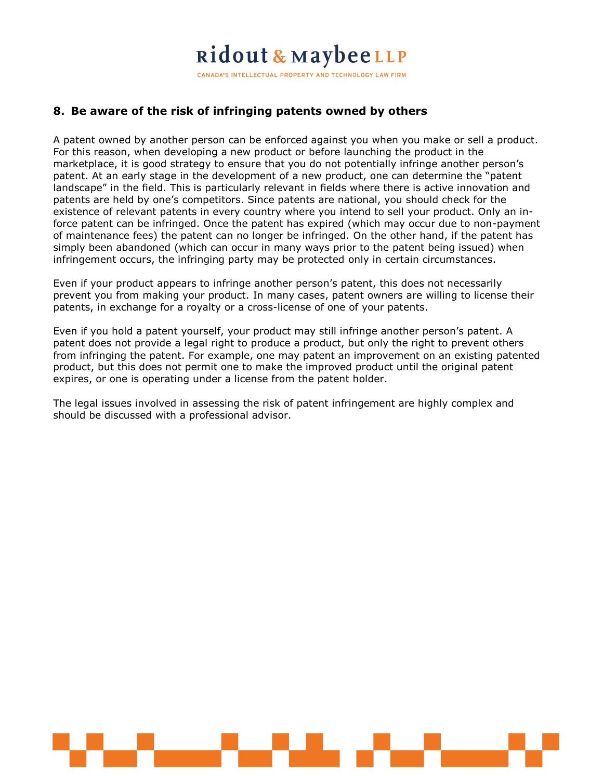CANADA'S INTELLECTUAL PROPERTY AND TECHNOLOGY LAW FIRM

### **8. Be aware of the risk of infringing patents owned by others**

A patent owned by another person can be enforced against you when you make or sell a product. For this reason, when developing a new product or before launching the product in the marketplace, it is good strategy to ensure that you do not potentially infringe another person's patent. At an early stage in the development of a new product, one can determine the "patent landscape" in the field. This is particularly relevant in fields where there is active innovation and patents are held by one's competitors. Since patents are national, you should check for the existence of relevant patents in every country where you intend to sell your product. Only an inforce patent can be infringed. Once the patent has expired (which may occur due to non-payment of maintenance fees) the patent can no longer be infringed. On the other hand, if the patent has simply been abandoned (which can occur in many ways prior to the patent being issued) when infringement occurs, the infringing party may be protected only in certain circumstances.

Even if your product appears to infringe another person's patent, this does not necessarily prevent you from making your product. In many cases, patent owners are willing to license their patents, in exchange for a royalty or a cross-license of one of your patents.

Even if you hold a patent yourself, your product may still infringe another person's patent. A patent does not provide a legal right to produce a product, but only the right to prevent others from infringing the patent. For example, one may patent an improvement on an existing patented product, but this does not permit one to make the improved product until the original patent expires, or one is operating under a license from the patent holder.

The legal issues involved in assessing the risk of patent infringement are highly complex and should be discussed with a professional advisor.

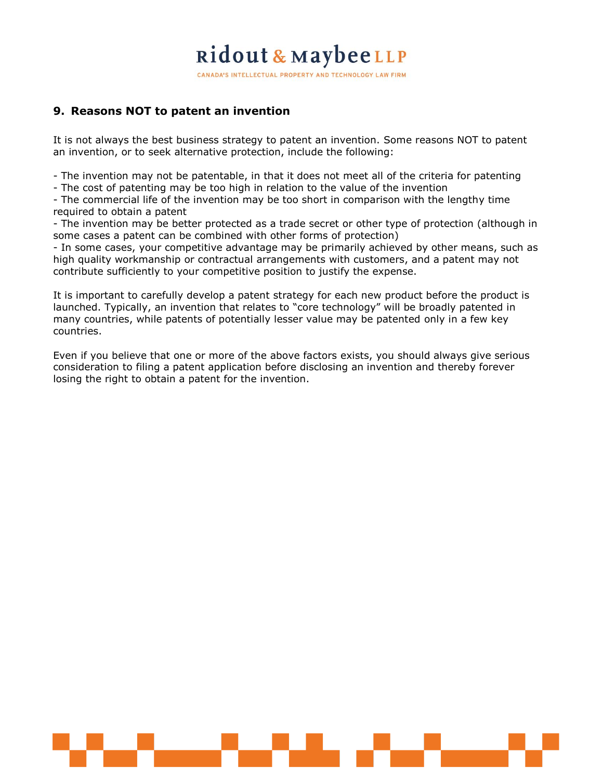CANADA'S INTELLECTUAL PROPERTY AND TECHNOLOGY LAW FIRM

### **9. Reasons NOT to patent an invention**

It is not always the best business strategy to patent an invention. Some reasons NOT to patent an invention, or to seek alternative protection, include the following:

- The invention may not be patentable, in that it does not meet all of the criteria for patenting

- The cost of patenting may be too high in relation to the value of the invention

- The commercial life of the invention may be too short in comparison with the lengthy time required to obtain a patent

- The invention may be better protected as a trade secret or other type of protection (although in some cases a patent can be combined with other forms of protection)

- In some cases, your competitive advantage may be primarily achieved by other means, such as high quality workmanship or contractual arrangements with customers, and a patent may not contribute sufficiently to your competitive position to justify the expense.

It is important to carefully develop a patent strategy for each new product before the product is launched. Typically, an invention that relates to "core technology" will be broadly patented in many countries, while patents of potentially lesser value may be patented only in a few key countries.

Even if you believe that one or more of the above factors exists, you should always give serious consideration to filing a patent application before disclosing an invention and thereby forever losing the right to obtain a patent for the invention.

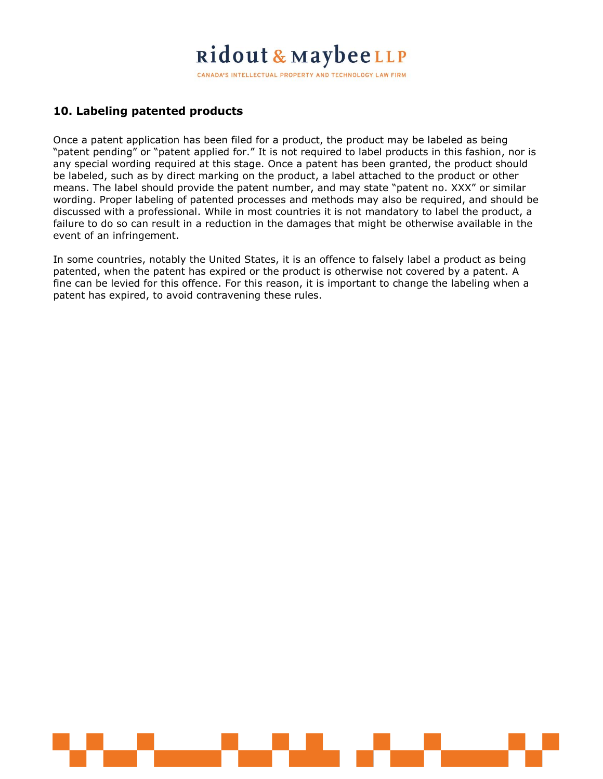CANADA'S INTELLECTUAL PROPERTY AND TECHNOLOGY LAW FIRM

### **10. Labeling patented products**

Once a patent application has been filed for a product, the product may be labeled as being "patent pending" or "patent applied for." It is not required to label products in this fashion, nor is any special wording required at this stage. Once a patent has been granted, the product should be labeled, such as by direct marking on the product, a label attached to the product or other means. The label should provide the patent number, and may state "patent no. XXX" or similar wording. Proper labeling of patented processes and methods may also be required, and should be discussed with a professional. While in most countries it is not mandatory to label the product, a failure to do so can result in a reduction in the damages that might be otherwise available in the event of an infringement.

In some countries, notably the United States, it is an offence to falsely label a product as being patented, when the patent has expired or the product is otherwise not covered by a patent. A fine can be levied for this offence. For this reason, it is important to change the labeling when a patent has expired, to avoid contravening these rules.

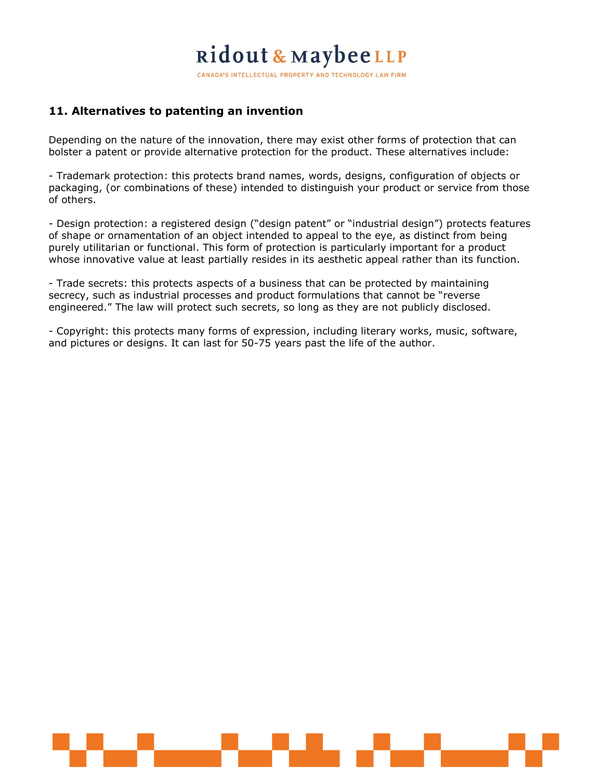CANADA'S INTELLECTUAL PROPERTY AND TECHNOLOGY LAW FIRM

### **11. Alternatives to patenting an invention**

Depending on the nature of the innovation, there may exist other forms of protection that can bolster a patent or provide alternative protection for the product. These alternatives include:

- Trademark protection: this protects brand names, words, designs, configuration of objects or packaging, (or combinations of these) intended to distinguish your product or service from those of others.

- Design protection: a registered design ("design patent" or "industrial design") protects features of shape or ornamentation of an object intended to appeal to the eye, as distinct from being purely utilitarian or functional. This form of protection is particularly important for a product whose innovative value at least partially resides in its aesthetic appeal rather than its function.

- Trade secrets: this protects aspects of a business that can be protected by maintaining secrecy, such as industrial processes and product formulations that cannot be "reverse engineered." The law will protect such secrets, so long as they are not publicly disclosed.

- Copyright: this protects many forms of expression, including literary works, music, software, and pictures or designs. It can last for 50-75 years past the life of the author.

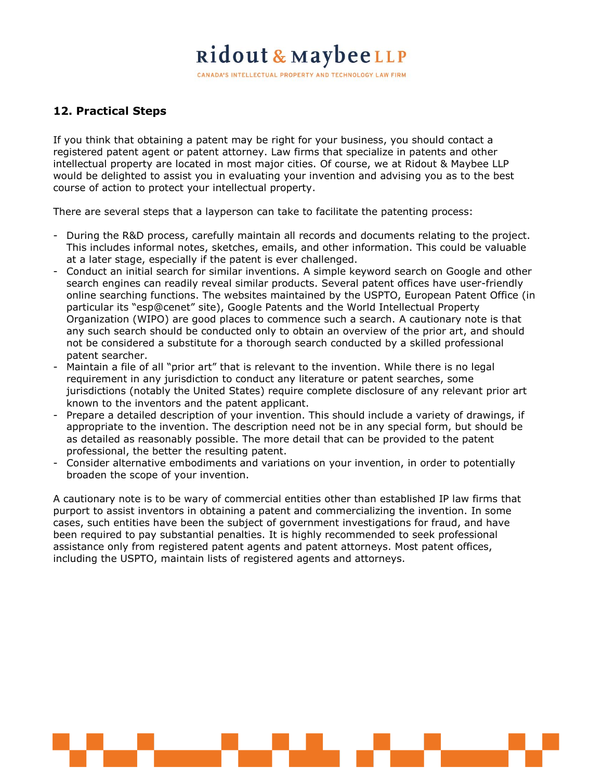CANADA'S INTELLECTUAL PROPERTY AND TECHNOLOGY LAW FIRM

### **12. Practical Steps**

If you think that obtaining a patent may be right for your business, you should contact a registered patent agent or patent attorney. Law firms that specialize in patents and other intellectual property are located in most major cities. Of course, we at Ridout & Maybee LLP would be delighted to assist you in evaluating your invention and advising you as to the best course of action to protect your intellectual property.

There are several steps that a layperson can take to facilitate the patenting process:

- During the R&D process, carefully maintain all records and documents relating to the project. This includes informal notes, sketches, emails, and other information. This could be valuable at a later stage, especially if the patent is ever challenged.
- Conduct an initial search for similar inventions. A simple keyword search on Google and other search engines can readily reveal similar products. Several patent offices have user-friendly online searching functions. The websites maintained by the USPTO, European Patent Office (in particular its "esp@cenet" site), Google Patents and the World Intellectual Property Organization (WIPO) are good places to commence such a search. A cautionary note is that any such search should be conducted only to obtain an overview of the prior art, and should not be considered a substitute for a thorough search conducted by a skilled professional patent searcher.
- Maintain a file of all "prior art" that is relevant to the invention. While there is no legal requirement in any jurisdiction to conduct any literature or patent searches, some jurisdictions (notably the United States) require complete disclosure of any relevant prior art known to the inventors and the patent applicant.
- Prepare a detailed description of your invention. This should include a variety of drawings, if appropriate to the invention. The description need not be in any special form, but should be as detailed as reasonably possible. The more detail that can be provided to the patent professional, the better the resulting patent.
- Consider alternative embodiments and variations on your invention, in order to potentially broaden the scope of your invention.

A cautionary note is to be wary of commercial entities other than established IP law firms that purport to assist inventors in obtaining a patent and commercializing the invention. In some cases, such entities have been the subject of government investigations for fraud, and have been required to pay substantial penalties. It is highly recommended to seek professional assistance only from registered patent agents and patent attorneys. Most patent offices, including the USPTO, maintain lists of registered agents and attorneys.

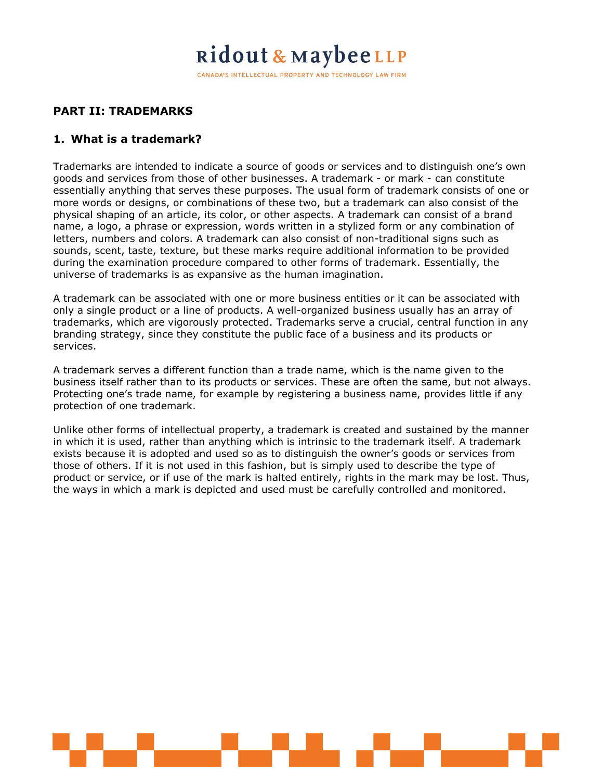CANADA'S INTELLECTUAL PROPERTY AND TECHNOLOGY LAW FIRM

### **PART II: TRADEMARKS**

#### **1. What is a trademark?**

Trademarks are intended to indicate a source of goods or services and to distinguish one's own goods and services from those of other businesses. A trademark - or mark - can constitute essentially anything that serves these purposes. The usual form of trademark consists of one or more words or designs, or combinations of these two, but a trademark can also consist of the physical shaping of an article, its color, or other aspects. A trademark can consist of a brand name, a logo, a phrase or expression, words written in a stylized form or any combination of letters, numbers and colors. A trademark can also consist of non-traditional signs such as sounds, scent, taste, texture, but these marks require additional information to be provided during the examination procedure compared to other forms of trademark. Essentially, the universe of trademarks is as expansive as the human imagination.

A trademark can be associated with one or more business entities or it can be associated with only a single product or a line of products. A well-organized business usually has an array of trademarks, which are vigorously protected. Trademarks serve a crucial, central function in any branding strategy, since they constitute the public face of a business and its products or services.

A trademark serves a different function than a trade name, which is the name given to the business itself rather than to its products or services. These are often the same, but not always. Protecting one's trade name, for example by registering a business name, provides little if any protection of one trademark.

Unlike other forms of intellectual property, a trademark is created and sustained by the manner in which it is used, rather than anything which is intrinsic to the trademark itself. A trademark exists because it is adopted and used so as to distinguish the owner's goods or services from those of others. If it is not used in this fashion, but is simply used to describe the type of product or service, or if use of the mark is halted entirely, rights in the mark may be lost. Thus, the ways in which a mark is depicted and used must be carefully controlled and monitored.

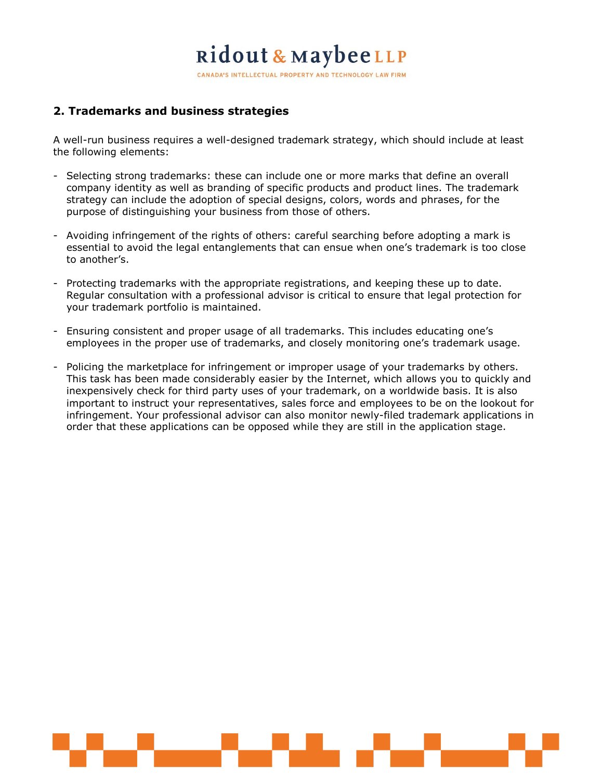CANADA'S INTELLECTUAL PROPERTY AND TECHNOLOGY LAW FIRM

### **2. Trademarks and business strategies**

A well-run business requires a well-designed trademark strategy, which should include at least the following elements:

- Selecting strong trademarks: these can include one or more marks that define an overall company identity as well as branding of specific products and product lines. The trademark strategy can include the adoption of special designs, colors, words and phrases, for the purpose of distinguishing your business from those of others.
- Avoiding infringement of the rights of others: careful searching before adopting a mark is essential to avoid the legal entanglements that can ensue when one's trademark is too close to another's.
- Protecting trademarks with the appropriate registrations, and keeping these up to date. Regular consultation with a professional advisor is critical to ensure that legal protection for your trademark portfolio is maintained.
- Ensuring consistent and proper usage of all trademarks. This includes educating one's employees in the proper use of trademarks, and closely monitoring one's trademark usage.
- Policing the marketplace for infringement or improper usage of your trademarks by others. This task has been made considerably easier by the Internet, which allows you to quickly and inexpensively check for third party uses of your trademark, on a worldwide basis. It is also important to instruct your representatives, sales force and employees to be on the lookout for infringement. Your professional advisor can also monitor newly-filed trademark applications in order that these applications can be opposed while they are still in the application stage.

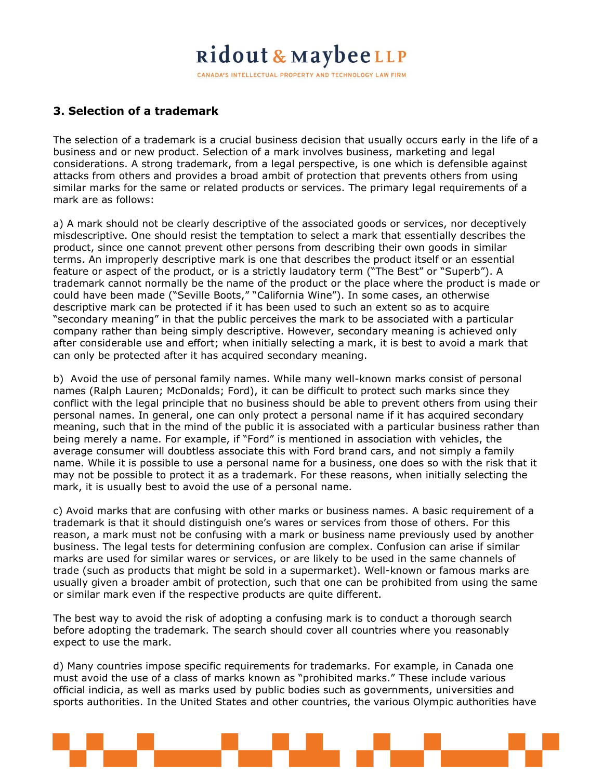CANADA'S INTELLECTUAL PROPERTY AND TECHNOLOGY LAW FIRM

### **3. Selection of a trademark**

The selection of a trademark is a crucial business decision that usually occurs early in the life of a business and or new product. Selection of a mark involves business, marketing and legal considerations. A strong trademark, from a legal perspective, is one which is defensible against attacks from others and provides a broad ambit of protection that prevents others from using similar marks for the same or related products or services. The primary legal requirements of a mark are as follows:

a) A mark should not be clearly descriptive of the associated goods or services, nor deceptively misdescriptive. One should resist the temptation to select a mark that essentially describes the product, since one cannot prevent other persons from describing their own goods in similar terms. An improperly descriptive mark is one that describes the product itself or an essential feature or aspect of the product, or is a strictly laudatory term ("The Best" or "Superb"). A trademark cannot normally be the name of the product or the place where the product is made or could have been made ("Seville Boots," "California Wine"). In some cases, an otherwise descriptive mark can be protected if it has been used to such an extent so as to acquire "secondary meaning" in that the public perceives the mark to be associated with a particular company rather than being simply descriptive. However, secondary meaning is achieved only after considerable use and effort; when initially selecting a mark, it is best to avoid a mark that can only be protected after it has acquired secondary meaning.

b) Avoid the use of personal family names. While many well-known marks consist of personal names (Ralph Lauren; McDonalds; Ford), it can be difficult to protect such marks since they conflict with the legal principle that no business should be able to prevent others from using their personal names. In general, one can only protect a personal name if it has acquired secondary meaning, such that in the mind of the public it is associated with a particular business rather than being merely a name. For example, if "Ford" is mentioned in association with vehicles, the average consumer will doubtless associate this with Ford brand cars, and not simply a family name. While it is possible to use a personal name for a business, one does so with the risk that it may not be possible to protect it as a trademark. For these reasons, when initially selecting the mark, it is usually best to avoid the use of a personal name.

c) Avoid marks that are confusing with other marks or business names. A basic requirement of a trademark is that it should distinguish one's wares or services from those of others. For this reason, a mark must not be confusing with a mark or business name previously used by another business. The legal tests for determining confusion are complex. Confusion can arise if similar marks are used for similar wares or services, or are likely to be used in the same channels of trade (such as products that might be sold in a supermarket). Well-known or famous marks are usually given a broader ambit of protection, such that one can be prohibited from using the same or similar mark even if the respective products are quite different.

The best way to avoid the risk of adopting a confusing mark is to conduct a thorough search before adopting the trademark. The search should cover all countries where you reasonably expect to use the mark.

d) Many countries impose specific requirements for trademarks. For example, in Canada one must avoid the use of a class of marks known as "prohibited marks." These include various official indicia, as well as marks used by public bodies such as governments, universities and sports authorities. In the United States and other countries, the various Olympic authorities have

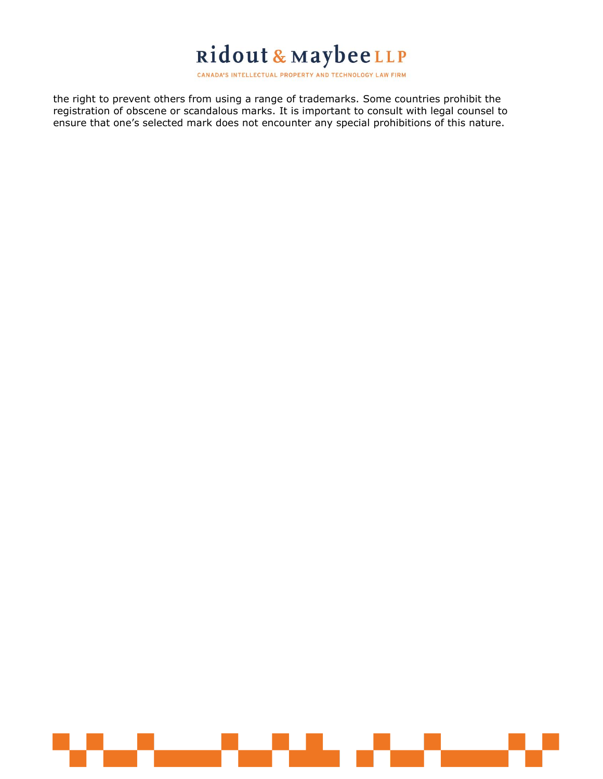the right to prevent others from using a range of trademarks. Some countries prohibit the registration of obscene or scandalous marks. It is important to consult with legal counsel to ensure that one's selected mark does not encounter any special prohibitions of this nature.

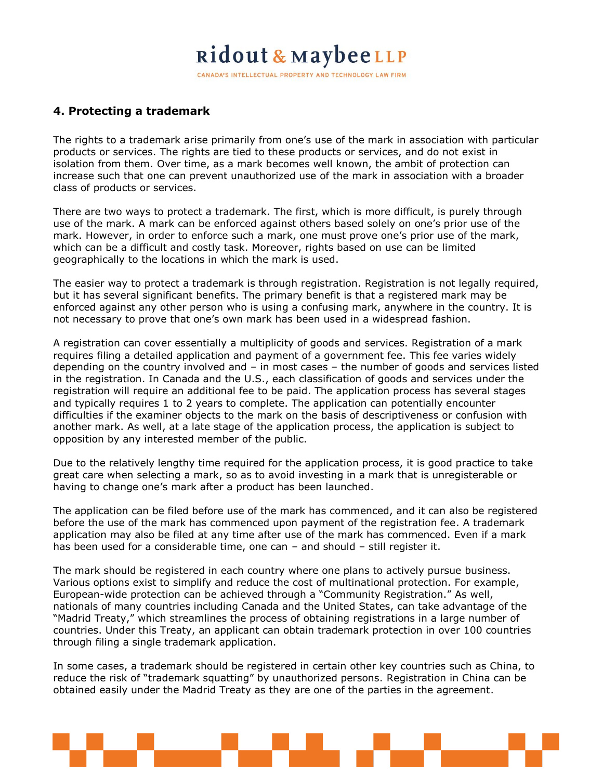CANADA'S INTELLECTUAL PROPERTY AND TECHNOLOGY LAW FIRM

#### **4. Protecting a trademark**

The rights to a trademark arise primarily from one's use of the mark in association with particular products or services. The rights are tied to these products or services, and do not exist in isolation from them. Over time, as a mark becomes well known, the ambit of protection can increase such that one can prevent unauthorized use of the mark in association with a broader class of products or services.

There are two ways to protect a trademark. The first, which is more difficult, is purely through use of the mark. A mark can be enforced against others based solely on one's prior use of the mark. However, in order to enforce such a mark, one must prove one's prior use of the mark, which can be a difficult and costly task. Moreover, rights based on use can be limited geographically to the locations in which the mark is used.

The easier way to protect a trademark is through registration. Registration is not legally required, but it has several significant benefits. The primary benefit is that a registered mark may be enforced against any other person who is using a confusing mark, anywhere in the country. It is not necessary to prove that one's own mark has been used in a widespread fashion.

A registration can cover essentially a multiplicity of goods and services. Registration of a mark requires filing a detailed application and payment of a government fee. This fee varies widely depending on the country involved and – in most cases – the number of goods and services listed in the registration. In Canada and the U.S., each classification of goods and services under the registration will require an additional fee to be paid. The application process has several stages and typically requires 1 to 2 years to complete. The application can potentially encounter difficulties if the examiner objects to the mark on the basis of descriptiveness or confusion with another mark. As well, at a late stage of the application process, the application is subject to opposition by any interested member of the public.

Due to the relatively lengthy time required for the application process, it is good practice to take great care when selecting a mark, so as to avoid investing in a mark that is unregisterable or having to change one's mark after a product has been launched.

The application can be filed before use of the mark has commenced, and it can also be registered before the use of the mark has commenced upon payment of the registration fee. A trademark application may also be filed at any time after use of the mark has commenced. Even if a mark has been used for a considerable time, one can – and should – still register it.

The mark should be registered in each country where one plans to actively pursue business. Various options exist to simplify and reduce the cost of multinational protection. For example, European-wide protection can be achieved through a "Community Registration." As well, nationals of many countries including Canada and the United States, can take advantage of the "Madrid Treaty," which streamlines the process of obtaining registrations in a large number of countries. Under this Treaty, an applicant can obtain trademark protection in over 100 countries through filing a single trademark application.

In some cases, a trademark should be registered in certain other key countries such as China, to reduce the risk of "trademark squatting" by unauthorized persons. Registration in China can be obtained easily under the Madrid Treaty as they are one of the parties in the agreement.

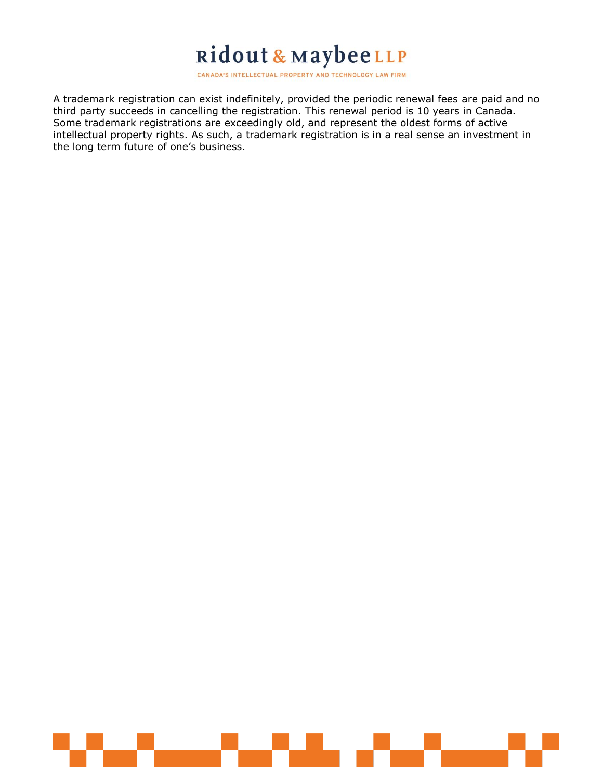CANADA'S INTELLECTUAL PROPERTY AND TECHNOLOGY LAW FIRM

A trademark registration can exist indefinitely, provided the periodic renewal fees are paid and no third party succeeds in cancelling the registration. This renewal period is 10 years in Canada. Some trademark registrations are exceedingly old, and represent the oldest forms of active intellectual property rights. As such, a trademark registration is in a real sense an investment in the long term future of one's business.

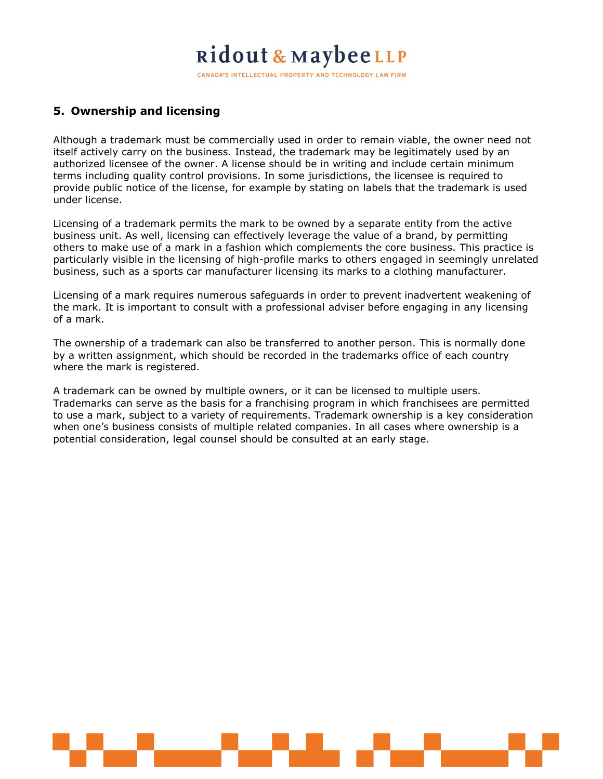CANADA'S INTELLECTUAL PROPERTY AND TECHNOLOGY LAW FIRM

### **5. Ownership and licensing**

Although a trademark must be commercially used in order to remain viable, the owner need not itself actively carry on the business. Instead, the trademark may be legitimately used by an authorized licensee of the owner. A license should be in writing and include certain minimum terms including quality control provisions. In some jurisdictions, the licensee is required to provide public notice of the license, for example by stating on labels that the trademark is used under license.

Licensing of a trademark permits the mark to be owned by a separate entity from the active business unit. As well, licensing can effectively leverage the value of a brand, by permitting others to make use of a mark in a fashion which complements the core business. This practice is particularly visible in the licensing of high-profile marks to others engaged in seemingly unrelated business, such as a sports car manufacturer licensing its marks to a clothing manufacturer.

Licensing of a mark requires numerous safeguards in order to prevent inadvertent weakening of the mark. It is important to consult with a professional adviser before engaging in any licensing of a mark.

The ownership of a trademark can also be transferred to another person. This is normally done by a written assignment, which should be recorded in the trademarks office of each country where the mark is registered.

A trademark can be owned by multiple owners, or it can be licensed to multiple users. Trademarks can serve as the basis for a franchising program in which franchisees are permitted to use a mark, subject to a variety of requirements. Trademark ownership is a key consideration when one's business consists of multiple related companies. In all cases where ownership is a potential consideration, legal counsel should be consulted at an early stage.

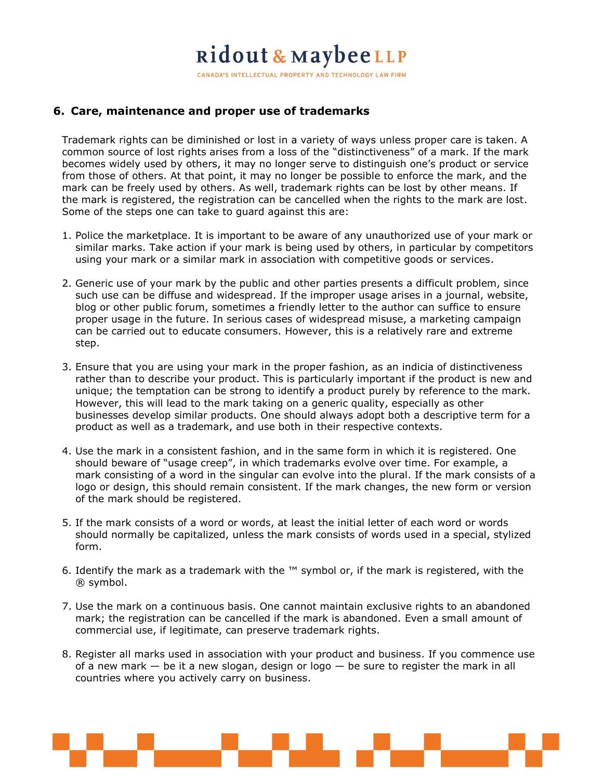CANADA'S INTELLECTUAL PROPERTY AND TECHNOLOGY LAW FIRM

#### **6. Care, maintenance and proper use of trademarks**

Trademark rights can be diminished or lost in a variety of ways unless proper care is taken. A common source of lost rights arises from a loss of the "distinctiveness" of a mark. If the mark becomes widely used by others, it may no longer serve to distinguish one's product or service from those of others. At that point, it may no longer be possible to enforce the mark, and the mark can be freely used by others. As well, trademark rights can be lost by other means. If the mark is registered, the registration can be cancelled when the rights to the mark are lost. Some of the steps one can take to guard against this are:

- 1. Police the marketplace. It is important to be aware of any unauthorized use of your mark or similar marks. Take action if your mark is being used by others, in particular by competitors using your mark or a similar mark in association with competitive goods or services.
- 2. Generic use of your mark by the public and other parties presents a difficult problem, since such use can be diffuse and widespread. If the improper usage arises in a journal, website, blog or other public forum, sometimes a friendly letter to the author can suffice to ensure proper usage in the future. In serious cases of widespread misuse, a marketing campaign can be carried out to educate consumers. However, this is a relatively rare and extreme step.
- 3. Ensure that you are using your mark in the proper fashion, as an indicia of distinctiveness rather than to describe your product. This is particularly important if the product is new and unique; the temptation can be strong to identify a product purely by reference to the mark. However, this will lead to the mark taking on a generic quality, especially as other businesses develop similar products. One should always adopt both a descriptive term for a product as well as a trademark, and use both in their respective contexts.
- 4. Use the mark in a consistent fashion, and in the same form in which it is registered. One should beware of "usage creep", in which trademarks evolve over time. For example, a mark consisting of a word in the singular can evolve into the plural. If the mark consists of a logo or design, this should remain consistent. If the mark changes, the new form or version of the mark should be registered.
- 5. If the mark consists of a word or words, at least the initial letter of each word or words should normally be capitalized, unless the mark consists of words used in a special, stylized form.
- 6. Identify the mark as a trademark with the  $TM$  symbol or, if the mark is registered, with the ® symbol.
- 7. Use the mark on a continuous basis. One cannot maintain exclusive rights to an abandoned mark; the registration can be cancelled if the mark is abandoned. Even a small amount of commercial use, if legitimate, can preserve trademark rights.
- 8. Register all marks used in association with your product and business. If you commence use of a new mark  $-$  be it a new slogan, design or logo  $-$  be sure to register the mark in all countries where you actively carry on business.

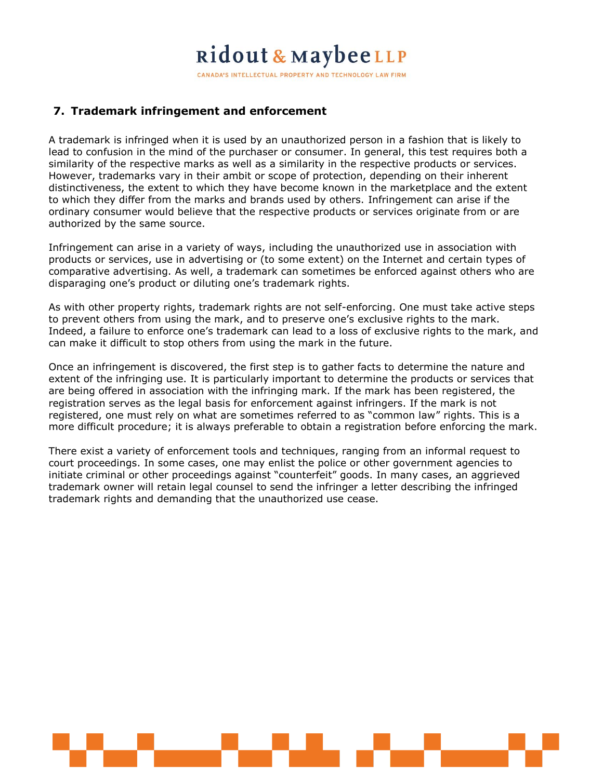CANADA'S INTELLECTUAL PROPERTY AND TECHNOLOGY LAW FIRM

### **7. Trademark infringement and enforcement**

A trademark is infringed when it is used by an unauthorized person in a fashion that is likely to lead to confusion in the mind of the purchaser or consumer. In general, this test requires both a similarity of the respective marks as well as a similarity in the respective products or services. However, trademarks vary in their ambit or scope of protection, depending on their inherent distinctiveness, the extent to which they have become known in the marketplace and the extent to which they differ from the marks and brands used by others. Infringement can arise if the ordinary consumer would believe that the respective products or services originate from or are authorized by the same source.

Infringement can arise in a variety of ways, including the unauthorized use in association with products or services, use in advertising or (to some extent) on the Internet and certain types of comparative advertising. As well, a trademark can sometimes be enforced against others who are disparaging one's product or diluting one's trademark rights.

As with other property rights, trademark rights are not self-enforcing. One must take active steps to prevent others from using the mark, and to preserve one's exclusive rights to the mark. Indeed, a failure to enforce one's trademark can lead to a loss of exclusive rights to the mark, and can make it difficult to stop others from using the mark in the future.

Once an infringement is discovered, the first step is to gather facts to determine the nature and extent of the infringing use. It is particularly important to determine the products or services that are being offered in association with the infringing mark. If the mark has been registered, the registration serves as the legal basis for enforcement against infringers. If the mark is not registered, one must rely on what are sometimes referred to as "common law" rights. This is a more difficult procedure; it is always preferable to obtain a registration before enforcing the mark.

There exist a variety of enforcement tools and techniques, ranging from an informal request to court proceedings. In some cases, one may enlist the police or other government agencies to initiate criminal or other proceedings against "counterfeit" goods. In many cases, an aggrieved trademark owner will retain legal counsel to send the infringer a letter describing the infringed trademark rights and demanding that the unauthorized use cease.

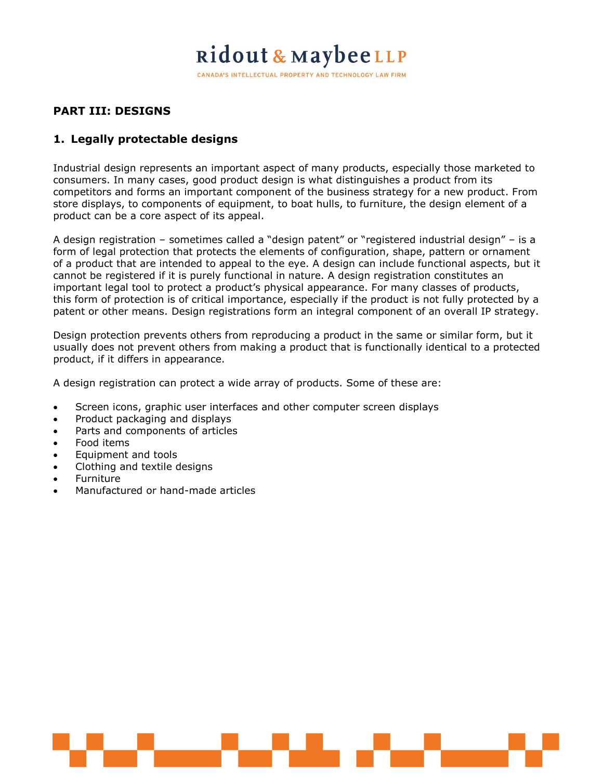CANADA'S INTELLECTUAL PROPERTY AND TECHNOLOGY LAW FIRM

### **PART III: DESIGNS**

### **1. Legally protectable designs**

Industrial design represents an important aspect of many products, especially those marketed to consumers. In many cases, good product design is what distinguishes a product from its competitors and forms an important component of the business strategy for a new product. From store displays, to components of equipment, to boat hulls, to furniture, the design element of a product can be a core aspect of its appeal.

A design registration – sometimes called a "design patent" or "registered industrial design" – is a form of legal protection that protects the elements of configuration, shape, pattern or ornament of a product that are intended to appeal to the eye. A design can include functional aspects, but it cannot be registered if it is purely functional in nature. A design registration constitutes an important legal tool to protect a product's physical appearance. For many classes of products, this form of protection is of critical importance, especially if the product is not fully protected by a patent or other means. Design registrations form an integral component of an overall IP strategy.

Design protection prevents others from reproducing a product in the same or similar form, but it usually does not prevent others from making a product that is functionally identical to a protected product, if it differs in appearance.

A design registration can protect a wide array of products. Some of these are:

- Screen icons, graphic user interfaces and other computer screen displays
- Product packaging and displays
- Parts and components of articles
- Food items
- Equipment and tools
- Clothing and textile designs
- Furniture
- Manufactured or hand-made articles

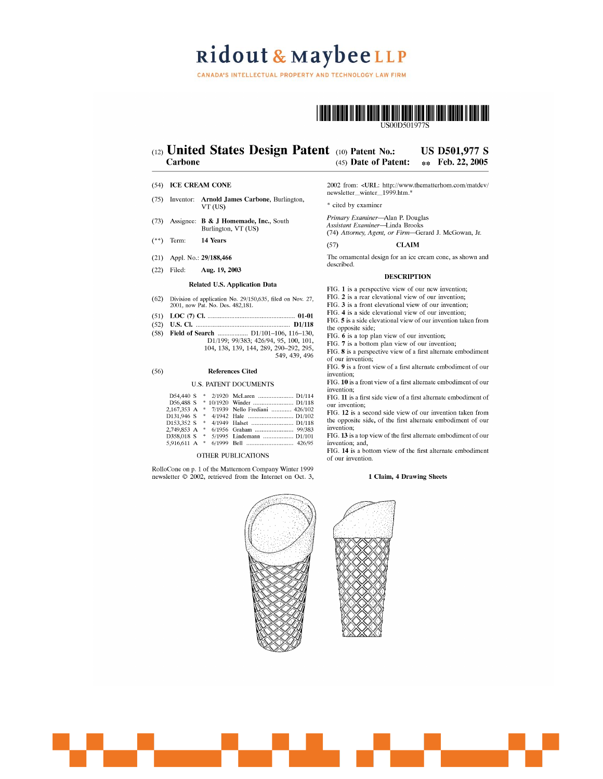CANADA'S INTELLECTUAL PROPERTY AND TECHNOLOGY LAW FIRM



#### (12) United States Design Patent (10) Patent No.: **US D501,977 S** Carbone (45) Date of Patent: \*\* Feb. 22, 2005

#### (54) ICE CREAM CONE

- (75) Inventor: Arnold James Carbone, Burlington, VT (US)
- $(73)$ Assignee: B & J Homemade, Inc., South Burlington, VT (US)
- 14 Years  $(**)$  Term:
- (21) Appl. No.: 29/188,466
- $(22)$  Filed: Aug. 19, 2003

#### Related U.S. Application Data

(62) Division of application No.  $29/150,635$ , filed on Nov. 27, 2001, now Pat. No. Des. 482,181.

- 
- 
- (58) Field of Search  $\frac{11}{199}$ ;  $\frac{99}{383}$ ;  $\frac{426}{94}$ ,  $\frac{95}{100}$ ,  $\frac{101}{101}$ ,  $\frac{104}{138}$ ,  $\frac{139}{144}$ ,  $\frac{289}{290}$ ,  $\frac{290}{292}$ ,  $\frac{295}{25}$ 549, 439, 496

#### $(56)$ **References Cited**

#### **U.S. PATENT DOCUMENTS**

| D54,440 S   |   |                                |
|-------------|---|--------------------------------|
| D56,488 S   |   | * 10/1920 Winder  D1/118       |
| 2.167.353 A | 啦 | 7/1939 Nello Frediani  426/102 |
| D131,946 S  | * |                                |
| D153.352 S  | * | 4/1949 Halset  D1/118          |
| 2.749,853 A | 牢 | 6/1956 Graham  99/383          |
| D358.018 S  | 串 | 5/1995 Lindemann  D1/101       |
| 5,916,611 A | * |                                |

#### OTHER PUBLICATIONS

RolloCone on p. 1 of the Matternorn Company Winter 1999 newsletter © 2002, retrieved from the Internet on Oct. 3,

2002 from: < URL: http://www.thematterhom.com/matdev/ newsletter\_winter\_1999.htm.\*

\* cited by examiner

Primary Examiner-Alan P. Douglas Assistant Examiner-Linda Brooks (74) Attorney, Agent, or Firm-Gerard J. McGowan, Jr.

 $(57)$ **CLAIM** 

The ornamental design for an ice cream cone, as shown and described.

#### **DESCRIPTION**

FIG. 1 is a perspective view of our new invention;

FIG. 2 is a rear elevational view of our invention:

FIG. 3 is a front elevational view of our invention:

FIG. 4 is a side elevational view of our invention;

FIG. 5 is a side elevational view of our invention taken from

the opposite side:

FIG. 6 is a top plan view of our invention;

FIG. 7 is a bottom plan view of our invention;

FIG. 8 is a perspective view of a first alternate embodiment of our invention;

FIG. 9 is a front view of a first alternate embodiment of our invention;

FIG. 10 is a front view of a first alternate embodiment of our invention;

FIG. 11 is a first side view of a first alternate embodiment of our invention;

FIG. 12 is a second side view of our invention taken from the opposite side, of the first alternate embodiment of our invention;

FIG. 13 is a top view of the first alternate embodiment of our invention; and,

FIG. 14 is a bottom view of the first alternate embodiment of our invention.

#### 1 Claim, 4 Drawing Sheets



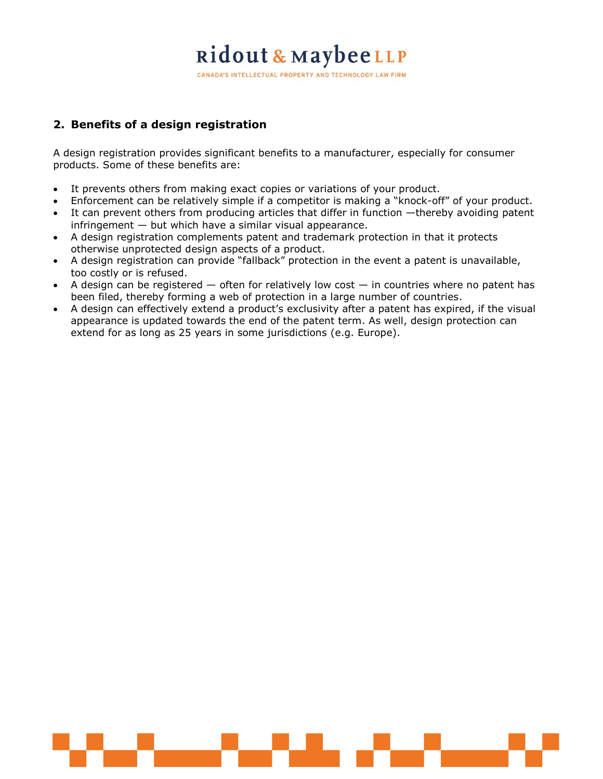CANADA'S INTELLECTUAL PROPERTY AND TECHNOLOGY LAW FIRM

### **2. Benefits of a design registration**

A design registration provides significant benefits to a manufacturer, especially for consumer products. Some of these benefits are:

- It prevents others from making exact copies or variations of your product.
- Enforcement can be relatively simple if a competitor is making a "knock-off" of your product.
- It can prevent others from producing articles that differ in function —thereby avoiding patent  $infringement - but which have a similar visual appearance.$
- A design registration complements patent and trademark protection in that it protects otherwise unprotected design aspects of a product.
- A design registration can provide "fallback" protection in the event a patent is unavailable, too costly or is refused.
- $\bullet$  A design can be registered  $-$  often for relatively low cost  $-$  in countries where no patent has been filed, thereby forming a web of protection in a large number of countries.
- A design can effectively extend a product's exclusivity after a patent has expired, if the visual appearance is updated towards the end of the patent term. As well, design protection can extend for as long as 25 years in some jurisdictions (e.g. Europe).

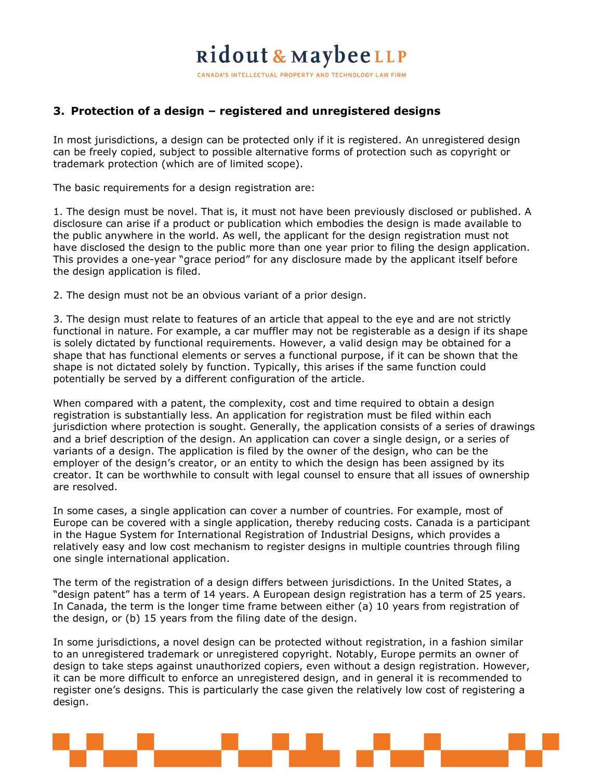CANADA'S INTELLECTUAL PROPERTY AND TECHNOLOGY LAW FIRM

### **3. Protection of a design – registered and unregistered designs**

In most jurisdictions, a design can be protected only if it is registered. An unregistered design can be freely copied, subject to possible alternative forms of protection such as copyright or trademark protection (which are of limited scope).

The basic requirements for a design registration are:

1. The design must be novel. That is, it must not have been previously disclosed or published. A disclosure can arise if a product or publication which embodies the design is made available to the public anywhere in the world. As well, the applicant for the design registration must not have disclosed the design to the public more than one year prior to filing the design application. This provides a one-year "grace period" for any disclosure made by the applicant itself before the design application is filed.

2. The design must not be an obvious variant of a prior design.

3. The design must relate to features of an article that appeal to the eye and are not strictly functional in nature. For example, a car muffler may not be registerable as a design if its shape is solely dictated by functional requirements. However, a valid design may be obtained for a shape that has functional elements or serves a functional purpose, if it can be shown that the shape is not dictated solely by function. Typically, this arises if the same function could potentially be served by a different configuration of the article.

When compared with a patent, the complexity, cost and time required to obtain a design registration is substantially less. An application for registration must be filed within each jurisdiction where protection is sought. Generally, the application consists of a series of drawings and a brief description of the design. An application can cover a single design, or a series of variants of a design. The application is filed by the owner of the design, who can be the employer of the design's creator, or an entity to which the design has been assigned by its creator. It can be worthwhile to consult with legal counsel to ensure that all issues of ownership are resolved.

In some cases, a single application can cover a number of countries. For example, most of Europe can be covered with a single application, thereby reducing costs. Canada is a participant in the Hague System for International Registration of Industrial Designs, which provides a relatively easy and low cost mechanism to register designs in multiple countries through filing one single international application.

The term of the registration of a design differs between jurisdictions. In the United States, a "design patent" has a term of 14 years. A European design registration has a term of 25 years. In Canada, the term is the longer time frame between either (a) 10 years from registration of the design, or (b) 15 years from the filing date of the design.

In some jurisdictions, a novel design can be protected without registration, in a fashion similar to an unregistered trademark or unregistered copyright. Notably, Europe permits an owner of design to take steps against unauthorized copiers, even without a design registration. However, it can be more difficult to enforce an unregistered design, and in general it is recommended to register one's designs. This is particularly the case given the relatively low cost of registering a design.

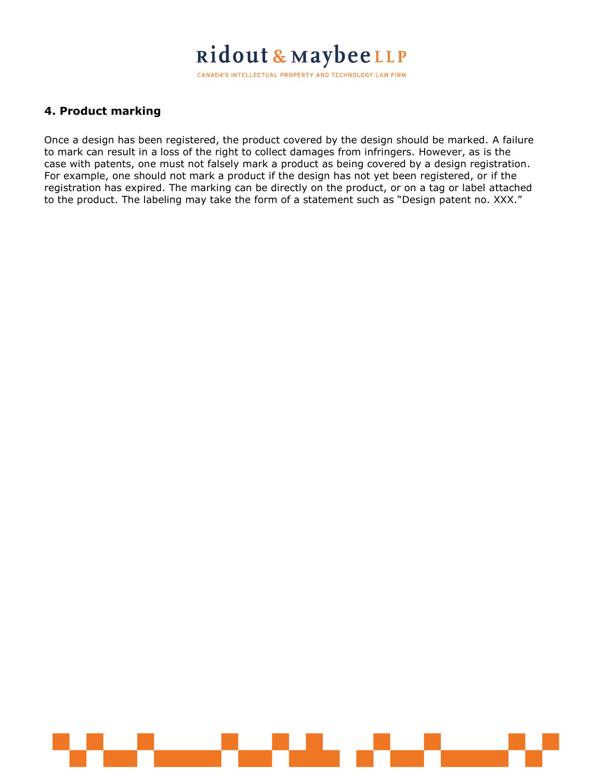CANADA'S INTELLECTUAL PROPERTY AND TECHNOLOGY LAW FIRM

### **4. Product marking**

Once a design has been registered, the product covered by the design should be marked. A failure to mark can result in a loss of the right to collect damages from infringers. However, as is the case with patents, one must not falsely mark a product as being covered by a design registration. For example, one should not mark a product if the design has not yet been registered, or if the registration has expired. The marking can be directly on the product, or on a tag or label attached to the product. The labeling may take the form of a statement such as "Design patent no. XXX."

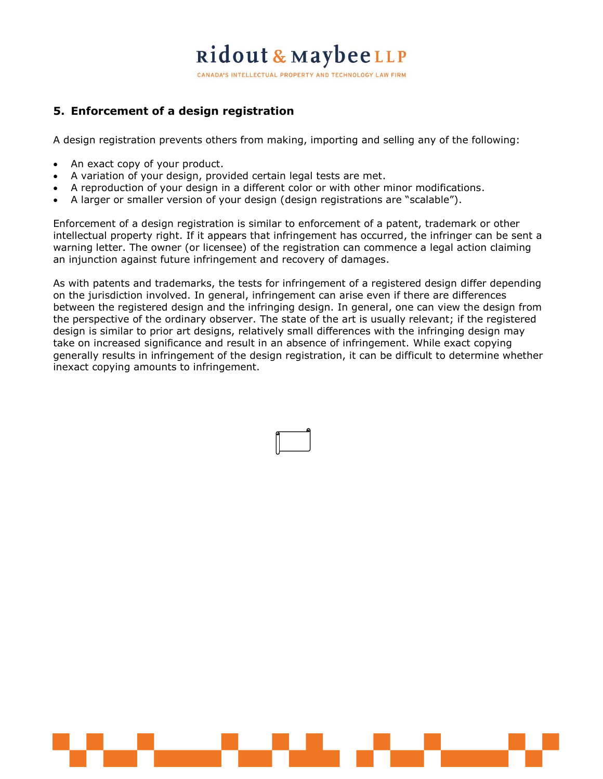CANADA'S INTELLECTUAL PROPERTY AND TECHNOLOGY LAW FIRM

### **5. Enforcement of a design registration**

A design registration prevents others from making, importing and selling any of the following:

- An exact copy of your product.
- A variation of your design, provided certain legal tests are met.
- A reproduction of your design in a different color or with other minor modifications.
- A larger or smaller version of your design (design registrations are "scalable").

Enforcement of a design registration is similar to enforcement of a patent, trademark or other intellectual property right. If it appears that infringement has occurred, the infringer can be sent a warning letter. The owner (or licensee) of the registration can commence a legal action claiming an injunction against future infringement and recovery of damages.

As with patents and trademarks, the tests for infringement of a registered design differ depending on the jurisdiction involved. In general, infringement can arise even if there are differences between the registered design and the infringing design. In general, one can view the design from the perspective of the ordinary observer. The state of the art is usually relevant; if the registered design is similar to prior art designs, relatively small differences with the infringing design may take on increased significance and result in an absence of infringement. While exact copying generally results in infringement of the design registration, it can be difficult to determine whether inexact copying amounts to infringement.